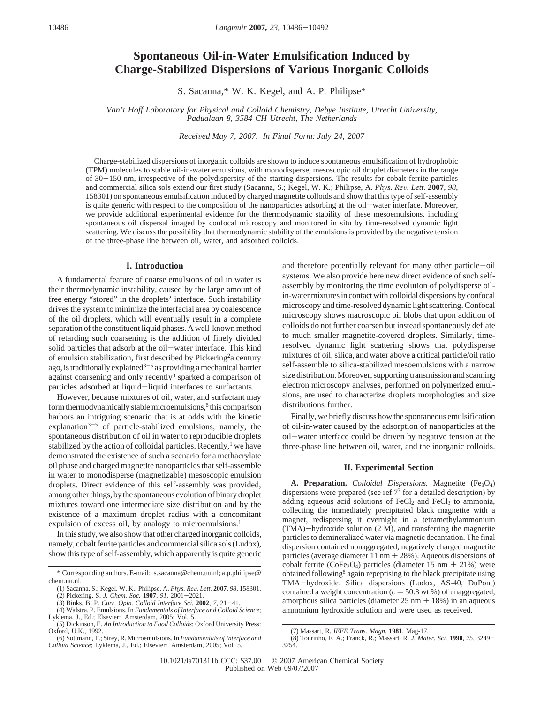# **Spontaneous Oil-in-Water Emulsification Induced by Charge-Stabilized Dispersions of Various Inorganic Colloids**

S. Sacanna,\* W. K. Kegel, and A. P. Philipse\*

*Van't Hoff Laboratory for Physical and Colloid Chemistry, Debye Institute, Utrecht University, Padualaan 8, 3584 CH Utrecht, The Netherlands*

*Recei*V*ed May 7, 2007. In Final Form: July 24, 2007*

Charge-stabilized dispersions of inorganic colloids are shown to induce spontaneous emulsification of hydrophobic (TPM) molecules to stable oil-in-water emulsions, with monodisperse, mesoscopic oil droplet diameters in the range of 30-150 nm, irrespective of the polydispersity of the starting dispersions. The results for cobalt ferrite particles and commercial silica sols extend our first study (Sacanna, S.; Kegel, W. K.; Philipse, A. *Phys. Re*V*. Lett.* **<sup>2007</sup>**, *<sup>98</sup>*, 158301) on spontaneous emulsification induced by charged magnetite colloids and show that this type of self-assembly is quite generic with respect to the composition of the nanoparticles adsorbing at the oil-water interface. Moreover, we provide additional experimental evidence for the thermodynamic stability of these mesoemulsions, including spontaneous oil dispersal imaged by confocal microscopy and monitored in situ by time-resolved dynamic light scattering. We discuss the possibility that thermodynamic stability of the emulsions is provided by the negative tension of the three-phase line between oil, water, and adsorbed colloids.

## **I. Introduction**

A fundamental feature of coarse emulsions of oil in water is their thermodynamic instability, caused by the large amount of free energy "stored" in the droplets' interface. Such instability drives the system to minimize the interfacial area by coalescence of the oil droplets, which will eventually result in a complete separation of the constituent liquid phases. A well-known method of retarding such coarsening is the addition of finely divided solid particles that adsorb at the oil-water interface. This kind of emulsion stabilization, first described by Pickering<sup>2</sup>a century ago, is traditionally explained<sup>3-5</sup> as providing a mechanical barrier against coarsening and only recently<sup>3</sup> sparked a comparison of particles adsorbed at liquid-liquid interfaces to surfactants.

However, because mixtures of oil, water, and surfactant may form thermodynamically stable microemulsions,<sup>6</sup> this comparison harbors an intriguing scenario that is at odds with the kinetic explanation<sup>3-5</sup> of particle-stabilized emulsions, namely, the spontaneous distribution of oil in water to reproducible droplets stabilized by the action of colloidal particles. Recently, $<sup>1</sup>$  we have</sup> demonstrated the existence of such a scenario for a methacrylate oil phase and charged magnetite nanoparticles that self-assemble in water to monodisperse (magnetizable) mesoscopic emulsion droplets. Direct evidence of this self-assembly was provided, among other things, by the spontaneous evolution of binary droplet mixtures toward one intermediate size distribution and by the existence of a maximum droplet radius with a concomitant expulsion of excess oil, by analogy to microemulsions.<sup>1</sup>

In this study, we also show that other charged inorganic colloids, namely, cobalt ferrite particles and commercial silica sols (Ludox), show this type of self-assembly, which apparently is quite generic and therefore potentially relevant for many other particle-oil systems. We also provide here new direct evidence of such selfassembly by monitoring the time evolution of polydisperse oilin-water mixtures in contact with colloidal dispersions by confocal microscopy and time-resolved dynamic light scattering. Confocal microscopy shows macroscopic oil blobs that upon addition of colloids do not further coarsen but instead spontaneously deflate to much smaller magnetite-covered droplets. Similarly, timeresolved dynamic light scattering shows that polydisperse mixtures of oil, silica, and water above a critical particle/oil ratio self-assemble to silica-stabilized mesoemulsions with a narrow size distribution. Moreover, supporting transmission and scanning electron microscopy analyses, performed on polymerized emulsions, are used to characterize droplets morphologies and size distributions further.

Finally, we briefly discuss how the spontaneous emulsification of oil-in-water caused by the adsorption of nanoparticles at the oil-water interface could be driven by negative tension at the three-phase line between oil, water, and the inorganic colloids.

### **II. Experimental Section**

A. Preparation. *Colloidal Dispersions*. Magnetite (Fe<sub>3</sub>O<sub>4</sub>) dispersions were prepared (see ref 77 for a detailed description) by adding aqueous acid solutions of  $FeCl<sub>2</sub>$  and  $FeCl<sub>3</sub>$  to ammonia, collecting the immediately precipitated black magnetite with a magnet, redispersing it overnight in a tetramethylammonium (TMA)-hydroxide solution (2 M), and transferring the magnetite particles to demineralized water via magnetic decantation. The final dispersion contained nonaggregated, negatively charged magnetite particles (average diameter 11 nm  $\pm$  28%). Aqueous dispersions of cobalt ferrite (CoFe<sub>2</sub>O<sub>4</sub>) particles (diameter 15 nm  $\pm$  21%) were obtained following<sup>8</sup> again repeptising to the black precipitate using TMA-hydroxide. Silica dispersions (Ludox, AS-40, DuPont) contained a weight concentration ( $c = 50.8$  wt %) of unaggregated, amorphous silica particles (diameter  $25 \text{ nm} \pm 18\%$ ) in an aqueous ammonium hydroxide solution and were used as received.

<sup>\*</sup> Corresponding authors. E-mail: s.sacanna@chem.uu.nl; a.p.philipse@ chem.uu.nl.

<sup>(1)</sup> Sacanna, S.; Kegel, W. K.; Philipse, A. *Phys. Rev. Lett.* **2007**, 98, 158301.<br>(2) Pickering, S. J. Chem. Soc. **1907**, 91, 2001–2021.<br>(3) Binks, B. P. Curr. Opin. Colloid Interface Sci. **2002**. 7, 21–41.<br>(4) Walstra P.

<sup>(4)</sup> Walstra, P. Emulsions. In *Fundamentals of Interface and Colloid Science*; Lyklema, J., Ed.; Elsevier: Amsterdam, 2005; Vol. 5.

<sup>(5)</sup> Dickinson, E. *An Introduction to Food Colloids*; Oxford University Press: Oxford, U.K., 1992.

<sup>(6)</sup> Sottmann, T.; Strey, R. Microemulsions. In *Fundamentals of Interface and Colloid Science*; Lyklema, J., Ed.; Elsevier: Amsterdam, 2005; Vol. 5.

<sup>(7)</sup> Massart, R. *IEEE Trans. Magn.* **1981**, Mag-17.

<sup>(8)</sup> Tourinho, F. A.; Franck, R.; Massart, R. *J. Mater. Sci.* **<sup>1990</sup>**, *<sup>25</sup>*, 3249- 3254.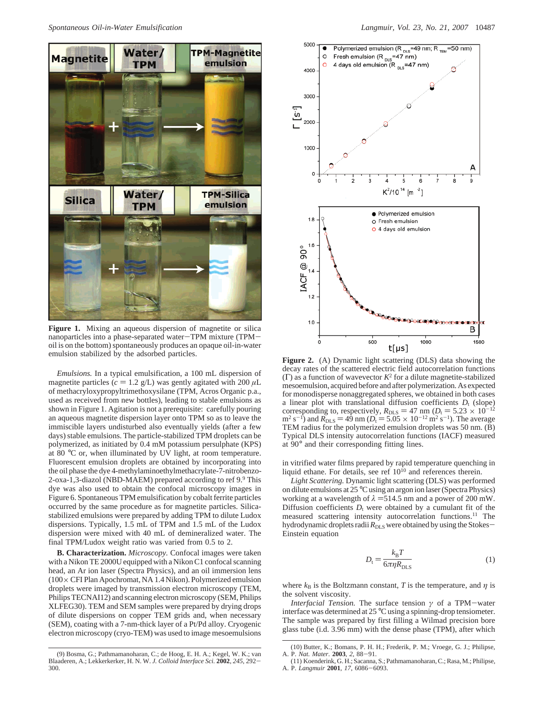

Figure 1. Mixing an aqueous dispersion of magnetite or silica nanoparticles into a phase-separated water-TPM mixture (TPMoil is on the bottom) spontaneously produces an opaque oil-in-water

*Emulsions.* In a typical emulsification, a 100 mL dispersion of magnetite particles ( $c = 1.2$  g/L) was gently agitated with 200  $\mu$ L of methacryloxypropyltrimethoxysilane (TPM, Acros Organic p.a., used as received from new bottles), leading to stable emulsions as shown in Figure 1. Agitation is not a prerequisite: carefully pouring an aqueous magnetite dispersion layer onto TPM so as to leave the immiscible layers undisturbed also eventually yields (after a few days) stable emulsions. The particle-stabilized TPM droplets can be polymerized, as initiated by 0.4 mM potassium persulphate (KPS) at 80 °C or, when illuminated by UV light, at room temperature. Fluorescent emulsion droplets are obtained by incorporating into the oil phase the dye 4-methylaminoethylmethacrylate-7-nitrobenzo-2-oxa-1,3-diazol (NBD-MAEM) prepared according to ref 9.9 This dye was also used to obtain the confocal microscopy images in Figure 6. Spontaneous TPM emulsification by cobalt ferrite particles occurred by the same procedure as for magnetite particles. Silicastabilized emulsions were prepared by adding TPM to dilute Ludox dispersions. Typically, 1.5 mL of TPM and 1.5 mL of the Ludox dispersion were mixed with 40 mL of demineralized water. The final TPM/Ludox weight ratio was varied from 0.5 to 2.

**B. Characterization.** *Microscopy.* Confocal images were taken with a Nikon TE 2000U equipped with a Nikon C1 confocal scanning head, an Ar ion laser (Spectra Physics), and an oil immersion lens (100×CFI Plan Apochromat, NA 1.4 Nikon). Polymerized emulsion droplets were imaged by transmission electron microscopy (TEM, Philips TECNAI12) and scanning electron microscopy (SEM, Philips XLFEG30). TEM and SEM samples were prepared by drying drops of dilute dispersions on copper TEM grids and, when necessary (SEM), coating with a 7-nm-thick layer of a Pt/Pd alloy. Cryogenic electron microscopy (cryo-TEM) was used to image mesoemulsions



decay rates of the scattered electric field autocorrelation functions (Γ) as a function of wavevector  $K^2$  for a dilute magnetite-stabilized mesoemulsion, acquired before and after polymerization. As expected for monodisperse nonaggregated spheres, we obtained in both cases a linear plot with translational diffusion coefficients  $D_t$  (slope) corresponding to, respectively,  $R_{\text{DLS}} = 47 \text{ nm}$  ( $D_t = 5.23 \times 10^{-12}$  $m^2 s^{-1}$ ) and  $R_{\text{DLS}} = 49$  nm ( $D_t = 5.05 \times 10^{-12} \text{ m}^2 \text{ s}^{-1}$ ). The average TEM radius for the polymerized emulsion droplets was 50 nm. (B) Typical DLS intensity autocorrelation functions (IACF) measured at 90° and their corresponding fitting lines.

in vitrified water films prepared by rapid temperature quenching in liquid ethane. For details, see ref  $10^{10}$  and references therein.

*Light Scattering.* Dynamic light scattering (DLS) was performed on dilute emulsions at 25 °C using an argon ion laser (Spectra Physics) working at a wavelength of  $\lambda$  =514.5 nm and a power of 200 mW. Diffusion coefficients  $D_t$  were obtained by a cumulant fit of the measured scattering intensity autocorrelation functions.11 The hydrodynamic droplets radii R<sub>DLS</sub> were obtained by using the Stokes-Einstein equation

$$
D_{\rm t} = \frac{k_{\rm B}T}{6\pi\eta R_{\rm DLS}}\tag{1}
$$

where  $k_B$  is the Boltzmann constant, *T* is the temperature, and  $\eta$  is the solvent viscosity.

*Interfacial Tension.* The surface tension *<sup>γ</sup>* of a TPM-water interface was determined at 25 °C using a spinning-drop tensiometer. The sample was prepared by first filling a Wilmad precision bore glass tube (i.d. 3.96 mm) with the dense phase (TPM), after which

<sup>(9)</sup> Bosma, G.; Pathmamanoharan, C.; de Hoog, E. H. A.; Kegel, W. K.; van Blaaderen, A.; Lekkerkerker, H. N. W. *J. Colloid Interface Sci.* **<sup>2002</sup>**, *<sup>245</sup>*, 292- 300.

<sup>(10)</sup> Butter, K.; Bomans, P. H. H.; Frederik, P. M.; Vroege, G. J.; Philipse, A. P. Nat. Mater. 2003, 2, 88-91.

A. P. *Nat. Mater.* **<sup>2003</sup>**, *<sup>2</sup>*, 88-91. (11) Koenderink, G. H.; Sacanna, S.; Pathmamanoharan, C.; Rasa, M.; Philipse, A. P. *Langmuir* **<sup>2001</sup>**, *<sup>17</sup>*, 6086-6093.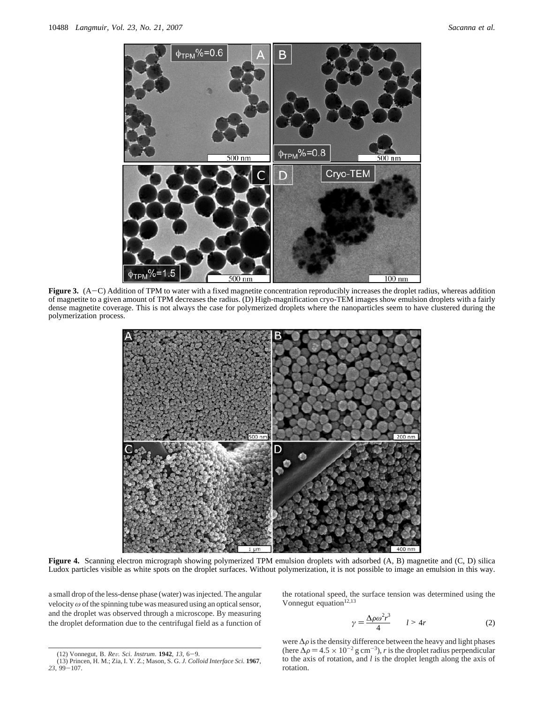

**Figure 3.** (A-C) Addition of TPM to water with a fixed magnetite concentration reproducibly increases the droplet radius, whereas addition of magnetite to a given amount of TPM decreases the radius. (D) High-magnification cryo-TEM images show emulsion droplets with a fairly dense magnetite coverage. This is not always the case for polymerized droplets where the nanoparticles seem to have clustered during the polymerization process.



**Figure 4.** Scanning electron micrograph showing polymerized TPM emulsion droplets with adsorbed (A, B) magnetite and (C, D) silica Ludox particles visible as white spots on the droplet surfaces. Without polymerization, it is not possible to image an emulsion in this way.

a small drop of the less-dense phase (water) was injected. The angular velocity *ω* of the spinning tube was measured using an optical sensor, and the droplet was observed through a microscope. By measuring the droplet deformation due to the centrifugal field as a function of

the rotational speed, the surface tension was determined using the Vonnegut equation<sup>12,13</sup>

$$
\gamma = \frac{\Delta \rho \omega^2 r^3}{4} \qquad l > 4r \tag{2}
$$

were  $\Delta \rho$  is the density difference between the heavy and light phases (here  $\Delta \rho = 4.5 \times 10^{-2}$  g cm<sup>-3</sup>), *r* is the droplet radius perpendicular to the axis of rotation, and *l* is the droplet length along the axis of rotation.

<sup>(12)</sup> Vonnegut, B. *Re*V*. Sci*. *Instrum*. **<sup>1942</sup>**, *<sup>13</sup>*, 6-9. (13) Princen, H. M.; Zia, I. Y. Z.; Mason, S. G. *J. Colloid Interface Sci.* **1967**, *<sup>23</sup>*, 99-107.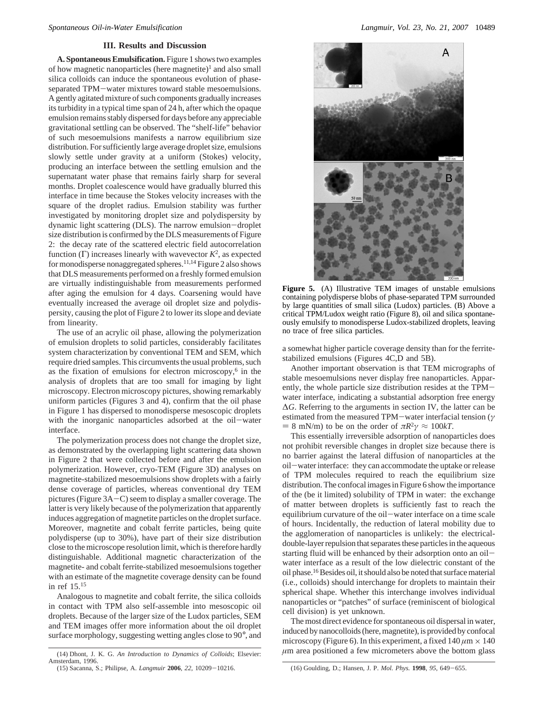## **III. Results and Discussion**

**A. Spontaneous Emulsification.** Figure 1 shows two examples of how magnetic nanoparticles (here magnetite)<sup>1</sup> and also small silica colloids can induce the spontaneous evolution of phaseseparated TPM-water mixtures toward stable mesoemulsions. A gently agitated mixture of such components gradually increases its turbidity in a typical time span of 24 h, after which the opaque emulsion remains stably dispersed for days before any appreciable gravitational settling can be observed. The "shelf-life" behavior of such mesoemulsions manifests a narrow equilibrium size distribution. For sufficiently large average droplet size, emulsions slowly settle under gravity at a uniform (Stokes) velocity, producing an interface between the settling emulsion and the supernatant water phase that remains fairly sharp for several months. Droplet coalescence would have gradually blurred this interface in time because the Stokes velocity increases with the square of the droplet radius. Emulsion stability was further investigated by monitoring droplet size and polydispersity by dynamic light scattering (DLS). The narrow emulsion-droplet size distribution is confirmed by the DLS measurements of Figure 2: the decay rate of the scattered electric field autocorrelation function (Γ) increases linearly with wavevector *K*2, as expected for monodisperse nonaggregated spheres.<sup>11,14</sup> Figure 2 also shows that DLS measurements performed on a freshly formed emulsion are virtually indistinguishable from measurements performed after aging the emulsion for 4 days. Coarsening would have eventually increased the average oil droplet size and polydispersity, causing the plot of Figure 2 to lower its slope and deviate from linearity.

The use of an acrylic oil phase, allowing the polymerization of emulsion droplets to solid particles, considerably facilitates system characterization by conventional TEM and SEM, which require dried samples. This circumvents the usual problems, such as the fixation of emulsions for electron microscopy, $6$  in the analysis of droplets that are too small for imaging by light microscopy. Electron microscopy pictures, showing remarkably uniform particles (Figures 3 and 4), confirm that the oil phase in Figure 1 has dispersed to monodisperse mesoscopic droplets with the inorganic nanoparticles adsorbed at the oil-water interface.

The polymerization process does not change the droplet size, as demonstrated by the overlapping light scattering data shown in Figure 2 that were collected before and after the emulsion polymerization. However, cryo-TEM (Figure 3D) analyses on magnetite-stabilized mesoemulsions show droplets with a fairly dense coverage of particles, whereas conventional dry TEM pictures (Figure 3A-C) seem to display a smaller coverage. The latter is very likely because of the polymerization that apparently induces aggregation of magnetite particles on the droplet surface. Moreover, magnetite and cobalt ferrite particles, being quite polydisperse (up to 30%), have part of their size distribution close to the microscope resolution limit, which is therefore hardly distinguishable. Additional magnetic characterization of the magnetite- and cobalt ferrite-stabilized mesoemulsions together with an estimate of the magnetite coverage density can be found in ref 15.15

Analogous to magnetite and cobalt ferrite, the silica colloids in contact with TPM also self-assemble into mesoscopic oil droplets. Because of the larger size of the Ludox particles, SEM and TEM images offer more information about the oil droplet surface morphology, suggesting wetting angles close to 90°, and



**Figure 5.** (A) Illustrative TEM images of unstable emulsions containing polydisperse blobs of phase-separated TPM surrounded by large quantities of small silica (Ludox) particles. (B) Above a critical TPM/Ludox weight ratio (Figure 8), oil and silica spontaneously emulsify to monodisperse Ludox-stabilized droplets, leaving no trace of free silica particles.

a somewhat higher particle coverage density than for the ferritestabilized emulsions (Figures 4C,D and 5B).

Another important observation is that TEM micrographs of stable mesoemulsions never display free nanoparticles. Apparently, the whole particle size distribution resides at the TPMwater interface, indicating a substantial adsorption free energy ∆*G*. Referring to the arguments in section IV, the latter can be estimated from the measured TPM-water interfacial tension (*<sup>γ</sup>*  $= 8$  mN/m) to be on the order of  $\pi R^2 \gamma \approx 100 kT$ .

This essentially irreversible adsorption of nanoparticles does not prohibit reversible changes in droplet size because there is no barrier against the lateral diffusion of nanoparticles at the oil-water interface: they can accommodate the uptake or release of TPM molecules required to reach the equilibrium size distribution. The confocal images in Figure 6 show the importance of the (be it limited) solubility of TPM in water: the exchange of matter between droplets is sufficiently fast to reach the equilibrium curvature of the oil-water interface on a time scale of hours. Incidentally, the reduction of lateral mobility due to the agglomeration of nanoparticles is unlikely: the electricaldouble-layer repulsion that separates these particles in the aqueous starting fluid will be enhanced by their adsorption onto an oilwater interface as a result of the low dielectric constant of the oil phase.<sup>16</sup> Besides oil, it should also be noted that surface material (i.e., colloids) should interchange for droplets to maintain their spherical shape. Whether this interchange involves individual nanoparticles or "patches" of surface (reminiscent of biological cell division) is yet unknown.

The most direct evidence for spontaneous oil dispersal in water, induced by nanocolloids (here, magnetite), is provided by confocal microscopy (Figure 6). In this experiment, a fixed  $140 \mu m \times 140$  *µm* area positioned a few micrometers above the bottom glass

*<sup>(14)</sup> Dhont, J. K. G. An Introduction to Dynamics of Colloids*; Elsevier: Amsterdam, 1996.

<sup>(15)</sup> Sacanna, S.; Philipse, A. *Langmuir* **<sup>2006</sup>**, *<sup>22</sup>*, 10209-10216. (16) Goulding, D.; Hansen, J. P. *Mol. Phys.* **<sup>1998</sup>**, *<sup>95</sup>*, 649-655.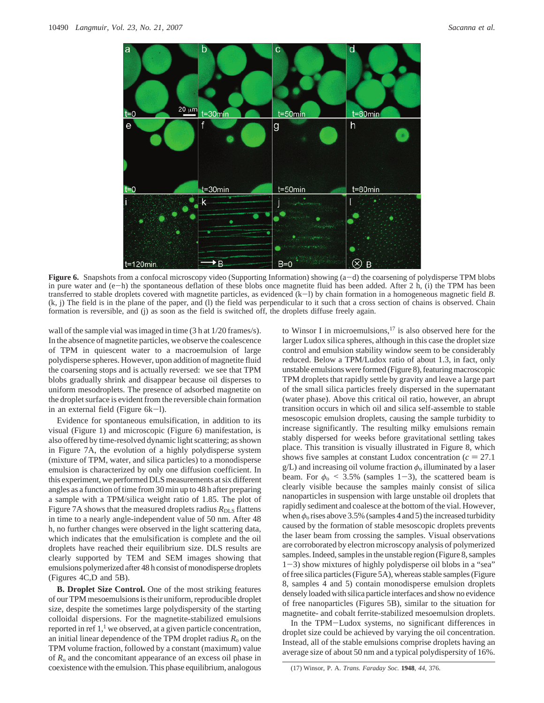

**Figure 6.** Snapshots from a confocal microscopy video (Supporting Information) showing (a-d) the coarsening of polydisperse TPM blobs in pure water and  $(e-h)$  the spontaneous deflation of these blobs once magnetite fluid has been added. After 2 h, (i) the TPM has been transferred to stable droplets covered with magnetite particles, as evidenced (k-l) by chain formation in a homogeneous magnetic field *<sup>B</sup>*. (k, j) The field is in the plane of the paper, and (l) the field was perpendicular to it such that a cross section of chains is observed. Chain formation is reversible, and (j) as soon as the field is switched off, the droplets diffuse freely again.

wall of the sample vial was imaged in time (3 h at 1/20 frames/s). In the absence of magnetite particles, we observe the coalescence of TPM in quiescent water to a macroemulsion of large polydisperse spheres. However, upon addition of magnetite fluid the coarsening stops and is actually reversed: we see that TPM blobs gradually shrink and disappear because oil disperses to uniform mesodroplets. The presence of adsorbed magnetite on the droplet surface is evident from the reversible chain formation in an external field (Figure 6k-l).

Evidence for spontaneous emulsification, in addition to its visual (Figure 1) and microscopic (Figure 6) manifestation, is also offered by time-resolved dynamic light scattering; as shown in Figure 7A, the evolution of a highly polydisperse system (mixture of TPM, water, and silica particles) to a monodisperse emulsion is characterized by only one diffusion coefficient. In this experiment, we performed DLS measurements at six different angles as a function of time from 30 min up to 48 h after preparing a sample with a TPM/silica weight ratio of 1.85. The plot of Figure 7A shows that the measured droplets radius *R*<sub>DLS</sub> flattens in time to a nearly angle-independent value of 50 nm. After 48 h, no further changes were observed in the light scattering data, which indicates that the emulsification is complete and the oil droplets have reached their equilibrium size. DLS results are clearly supported by TEM and SEM images showing that emulsions polymerized after 48 h consist of monodisperse droplets (Figures 4C,D and 5B).

**B. Droplet Size Control.** One of the most striking features of our TPM mesoemulsions is their uniform, reproducible droplet size, despite the sometimes large polydispersity of the starting colloidal dispersions. For the magnetite-stabilized emulsions reported in ref 1,<sup>1</sup> we observed, at a given particle concentration, an initial linear dependence of the TPM droplet radius  $R_0$  on the TPM volume fraction, followed by a constant (maximum) value of  $R_0$  and the concomitant appearance of an excess oil phase in coexistence with the emulsion. This phase equilibrium, analogous to Winsor I in microemulsions, $17$  is also observed here for the larger Ludox silica spheres, although in this case the droplet size control and emulsion stability window seem to be considerably reduced. Below a TPM/Ludox ratio of about 1.3, in fact, only unstable emulsions were formed (Figure 8), featuring macroscopic TPM droplets that rapidly settle by gravity and leave a large part of the small silica particles freely dispersed in the supernatant (water phase). Above this critical oil ratio, however, an abrupt transition occurs in which oil and silica self-assemble to stable mesoscopic emulsion droplets, causing the sample turbidity to increase significantly. The resulting milky emulsions remain stably dispersed for weeks before gravitational settling takes place. This transition is visually illustrated in Figure 8, which shows five samples at constant Ludox concentration  $(c = 27.1)$ g/L) and increasing oil volume fraction *φ*<sup>o</sup> illuminated by a laser beam. For  $\phi_0$  < 3.5% (samples 1-3), the scattered beam is clearly visible because the samples mainly consist of silica nanoparticles in suspension with large unstable oil droplets that rapidly sediment and coalesce at the bottom of the vial. However, when  $\phi_0$  rises above 3.5% (samples 4 and 5) the increased turbidity caused by the formation of stable mesoscopic droplets prevents the laser beam from crossing the samples. Visual observations are corroborated by electron microscopy analysis of polymerized samples. Indeed, samples in the unstable region (Figure 8, samples <sup>1</sup>-3) show mixtures of highly polydisperse oil blobs in a "sea" of free silica particles (Figure 5A), whereas stable samples (Figure 8, samples 4 and 5) contain monodisperse emulsion droplets densely loaded with silica particle interfaces and show no evidence of free nanoparticles (Figures 5B), similar to the situation for magnetite- and cobalt ferrite-stabilized mesoemulsion droplets.

In the TPM-Ludox systems, no significant differences in droplet size could be achieved by varying the oil concentration. Instead, all of the stable emulsions comprise droplets having an average size of about 50 nm and a typical polydispersity of 16%.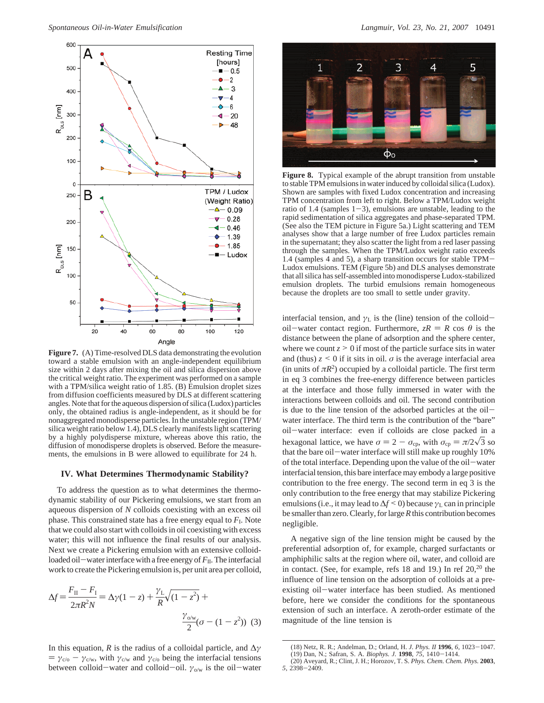

**Figure 7.** (A) Time-resolved DLS data demonstrating the evolution toward a stable emulsion with an angle-independent equilibrium size within 2 days after mixing the oil and silica dispersion above the critical weight ratio. The experiment was performed on a sample with a TPM/silica weight ratio of 1.85. (B) Emulsion droplet sizes from diffusion coefficients measured by DLS at different scattering angles. Note that for the aqueous dispersion of silica (Ludox) particles only, the obtained radius is angle-independent, as it should be for nonaggregated monodisperse particles. In the unstable region (TPM/ silica weight ratio below 1.4), DLS clearly manifests light scattering by a highly polydisperse mixture, whereas above this ratio, the diffusion of monodisperse droplets is observed. Before the measurements, the emulsions in B were allowed to equilibrate for 24 h.

## **IV. What Determines Thermodynamic Stability?**

To address the question as to what determines the thermodynamic stability of our Pickering emulsions, we start from an aqueous dispersion of *N* colloids coexisting with an excess oil phase. This constrained state has a free energy equal to  $F<sub>I</sub>$ . Note that we could also start with colloids in oil coexisting with excess water; this will not influence the final results of our analysis. Next we create a Pickering emulsion with an extensive colloidloaded oil-water interface with a free energy of  $F_{II}$ . The interfacial work to create the Pickering emulsion is, per unit area per colloid,

$$
\Delta f = \frac{F_{\rm II} - F_{\rm I}}{2\pi R^2 N} = \Delta \gamma (1 - z) + \frac{\gamma_{\rm L}}{R} \sqrt{(1 - z^2)} + \frac{\gamma_{\rm o/w}}{2} (\sigma - (1 - z^2)) \tag{3}
$$

In this equation, *R* is the radius of a colloidal particle, and ∆*γ*  $= \gamma_{c/o} - \gamma_{c/w}$ , with  $\gamma_{c/w}$  and  $\gamma_{c/o}$  being the interfacial tensions between colloid-water and colloid-oil.  $\gamma_{0/w}$  is the oil-water



**Figure 8.** Typical example of the abrupt transition from unstable to stable TPM emulsions in water induced by colloidal silica (Ludox). Shown are samples with fixed Ludox concentration and increasing TPM concentration from left to right. Below a TPM/Ludox weight ratio of 1.4 (samples  $1-3$ ), emulsions are unstable, leading to the rapid sedimentation of silica aggregates and phase-separated TPM. (See also the TEM picture in Figure 5a.) Light scattering and TEM analyses show that a large number of free Ludox particles remain in the supernatant; they also scatter the light from a red laser passing through the samples. When the TPM/Ludox weight ratio exceeds 1.4 (samples 4 and 5), a sharp transition occurs for stable TPM-Ludox emulsions. TEM (Figure 5b) and DLS analyses demonstrate that all silica has self-assembled into monodisperse Ludox-stabilized emulsion droplets. The turbid emulsions remain homogeneous because the droplets are too small to settle under gravity.

interfacial tension, and  $\gamma$ <sub>L</sub> is the (line) tension of the colloidoil-water contact region. Furthermore,  $zR = R \cos \theta$  is the distance between the plane of adsorption and the sphere center, where we count  $z \geq 0$  if most of the particle surface sits in water and (thus)  $z \leq 0$  if it sits in oil.  $\sigma$  is the average interfacial area (in units of  $\pi R^2$ ) occupied by a colloidal particle. The first term in eq 3 combines the free-energy difference between particles at the interface and those fully immersed in water with the interactions between colloids and oil. The second contribution is due to the line tension of the adsorbed particles at the oilwater interface. The third term is the contribution of the "bare" oil-water interface: even if colloids are close packed in a hexagonal lattice, we have  $\sigma = 2 - \sigma_{cp}$ , with  $\sigma_{cp} = \pi/2\sqrt{3}$  so that the bare oil-water interface will still make up roughly 10% of the total interface. Depending upon the value of the oil-water interfacial tension, this bare interface may embody a large positive contribution to the free energy. The second term in eq 3 is the only contribution to the free energy that may stabilize Pickering emulsions (i.e., it may lead to  $\Delta f \leq 0$ ) because  $\gamma_L$  can in principle be smaller than zero. Clearly, for large*R*this contribution becomes negligible.

A negative sign of the line tension might be caused by the preferential adsorption of, for example, charged surfactants or amphiphilic salts at the region where oil, water, and colloid are in contact. (See, for example, refs 18 and 19.) In ref  $20<sup>20</sup>$  the influence of line tension on the adsorption of colloids at a preexisting oil-water interface has been studied. As mentioned before, here we consider the conditions for the spontaneous extension of such an interface. A zeroth-order estimate of the magnitude of the line tension is

<sup>(18)</sup> Netz, R. R.; Andelman, D.; Orland, H. *J. Phys. II* **<sup>1996</sup>**, *<sup>6</sup>*, 1023-1047. (19) Dan, N.; Safran, S. A. *Biophys. J.* **<sup>1998</sup>**, *<sup>75</sup>*, 1410-1414.

<sup>(20)</sup> Aveyard, R.; Clint, J. H.; Horozov, T. S. *Phys. Chem. Chem. Phys.* **2003**, *<sup>5</sup>*, 2398-2409.